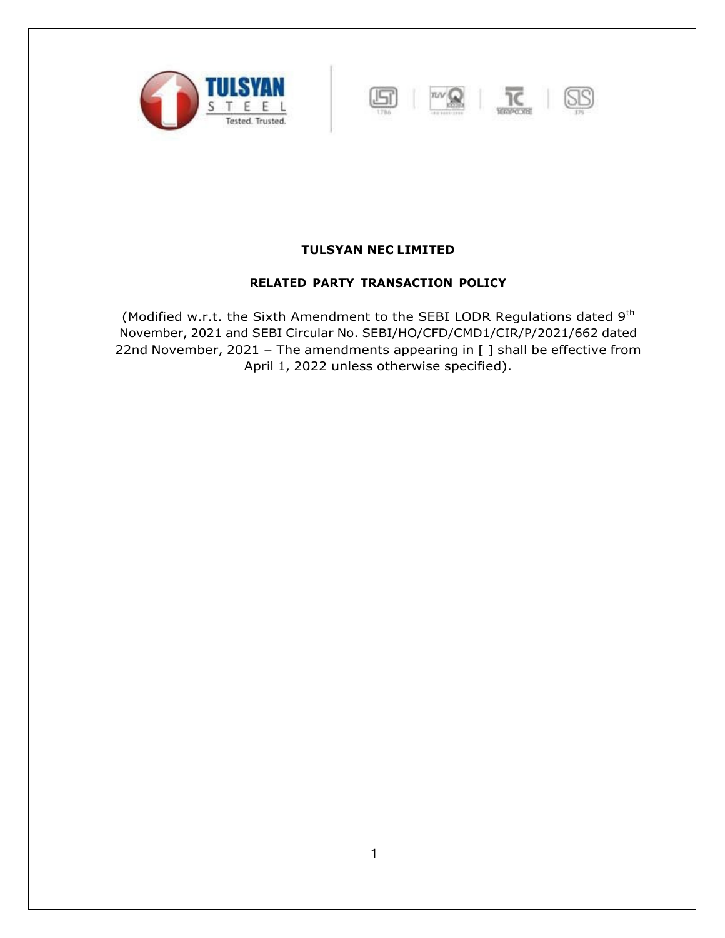



## **TULSYAN NEC LIMITED**

### **RELATED PARTY TRANSACTION POLICY**

(Modified w.r.t. the Sixth Amendment to the SEBI LODR Regulations dated 9<sup>th</sup> November, 2021 and SEBI Circular No. SEBI/HO/CFD/CMD1/CIR/P/2021/662 dated 22nd November, 2021 – The amendments appearing in [ ] shall be effective from April 1, 2022 unless otherwise specified).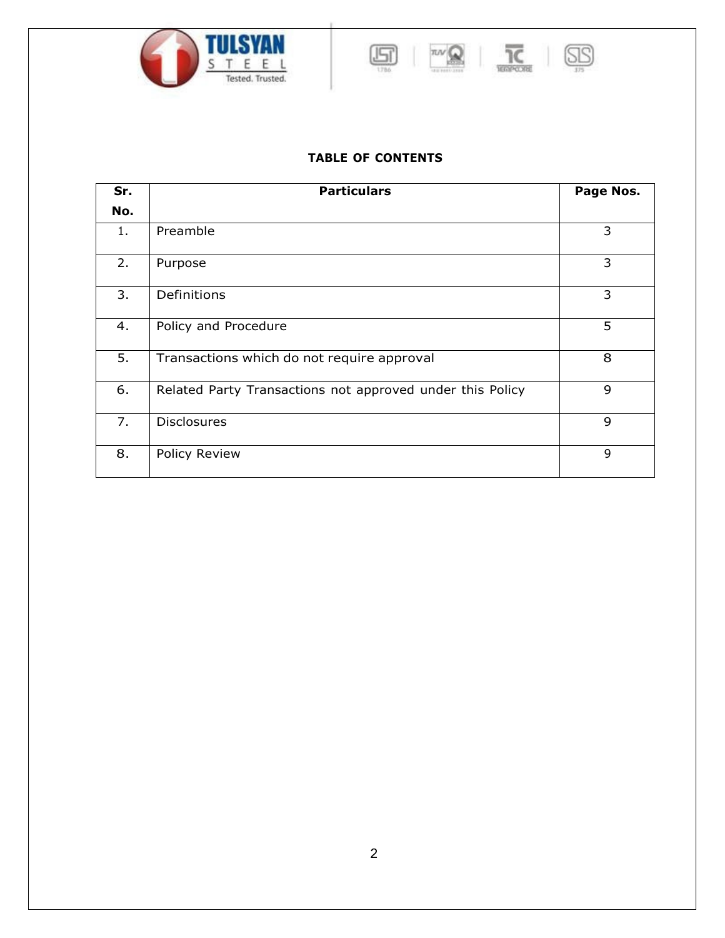





# **TABLE OF CONTENTS**

| Sr. | <b>Particulars</b>                                        | Page Nos. |
|-----|-----------------------------------------------------------|-----------|
| No. |                                                           |           |
| 1.  | Preamble                                                  | 3         |
| 2.  | Purpose                                                   | 3         |
| 3.  | Definitions                                               | 3         |
| 4.  | Policy and Procedure                                      | 5         |
| 5.  | Transactions which do not require approval                | 8         |
| 6.  | Related Party Transactions not approved under this Policy | 9         |
| 7.  | <b>Disclosures</b>                                        | 9         |
| 8.  | <b>Policy Review</b>                                      | 9         |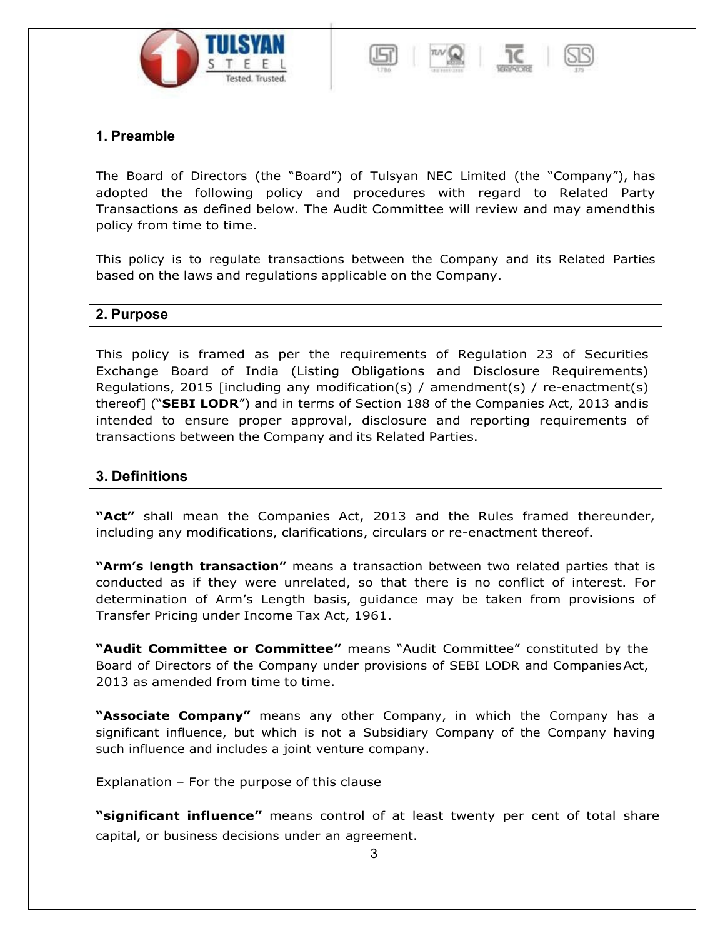





# **1. Preamble**

The Board of Directors (the "Board") of Tulsyan NEC Limited (the "Company"), has adopted the following policy and procedures with regard to Related Party Transactions as defined below. The Audit Committee will review and may amendthis policy from time to time.

This policy is to regulate transactions between the Company and its Related Parties based on the laws and regulations applicable on the Company.

## **2. Purpose**

This policy is framed as per the requirements of Regulation 23 of Securities Exchange Board of India (Listing Obligations and Disclosure Requirements) Regulations, 2015 [including any modification(s) / amendment(s) / re-enactment(s) thereof] ("**SEBI LODR**") and in terms of Section 188 of the Companies Act, 2013 andis intended to ensure proper approval, disclosure and reporting requirements of transactions between the Company and its Related Parties.

## **3. Definitions**

**"Act"** shall mean the Companies Act, 2013 and the Rules framed thereunder, including any modifications, clarifications, circulars or re-enactment thereof.

**"Arm's length transaction"** means a transaction between two related parties that is conducted as if they were unrelated, so that there is no conflict of interest. For determination of Arm's Length basis, guidance may be taken from provisions of Transfer Pricing under Income Tax Act, 1961.

**"Audit Committee or Committee"** means "Audit Committee" constituted by the Board of Directors of the Company under provisions of SEBI LODR and CompaniesAct, 2013 as amended from time to time.

**"Associate Company"** means any other Company, in which the Company has a significant influence, but which is not a Subsidiary Company of the Company having such influence and includes a joint venture company.

Explanation – For the purpose of this clause

**"significant influence"** means control of at least twenty per cent of total share capital, or business decisions under an agreement.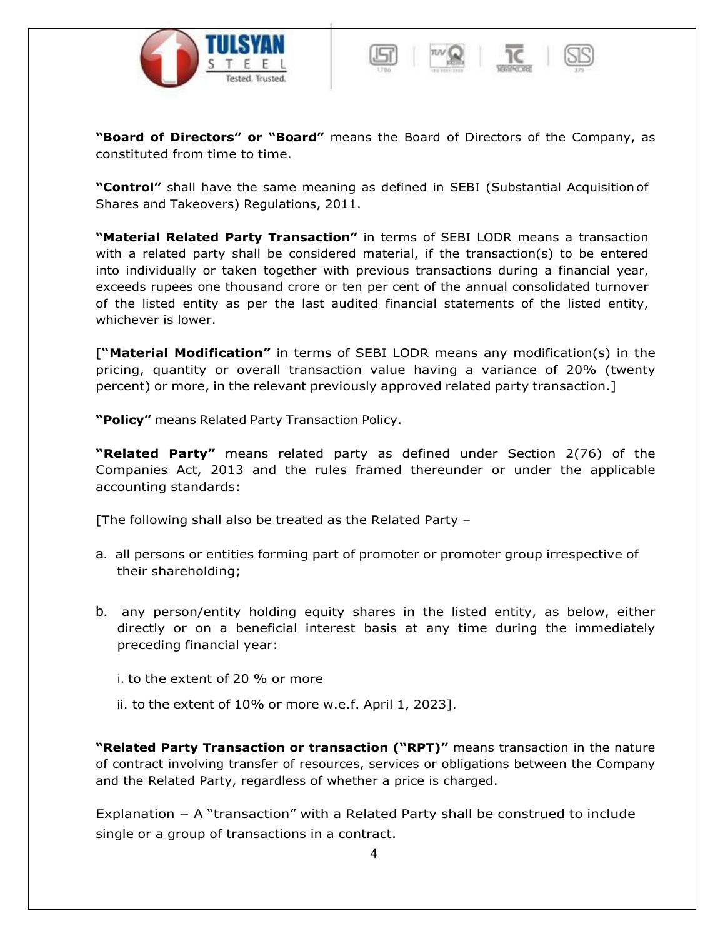





**"Control"** shall have the same meaning as defined in SEBI (Substantial Acquisition of Shares and Takeovers) Regulations, 2011.

**"Material Related Party Transaction"** in terms of SEBI LODR means a transaction with a related party shall be considered material, if the transaction(s) to be entered into individually or taken together with previous transactions during a financial year, exceeds rupees one thousand crore or ten per cent of the annual consolidated turnover of the listed entity as per the last audited financial statements of the listed entity, whichever is lower.

[**"Material Modification"** in terms of SEBI LODR means any modification(s) in the pricing, quantity or overall transaction value having a variance of 20% (twenty percent) or more, in the relevant previously approved related party transaction.]

**"Policy"** means Related Party Transaction Policy.

**"Related Party"** means related party as defined under Section 2(76) of the Companies Act, 2013 and the rules framed thereunder or under the applicable accounting standards:

[The following shall also be treated as the Related Party –

- a. all persons or entities forming part of promoter or promoter group irrespective of their shareholding;
- b. any person/entity holding equity shares in the listed entity, as below, either directly or on a beneficial interest basis at any time during the immediately preceding financial year:
	- i. to the extent of 20 % or more
	- ii. to the extent of 10% or more w.e.f. April 1, 2023].

**"Related Party Transaction or transaction ("RPT)"** means transaction in the nature of contract involving transfer of resources, services or obligations between the Company and the Related Party, regardless of whether a price is charged.

Explanation – A "transaction" with a Related Party shall be construed to include single or a group of transactions in a contract.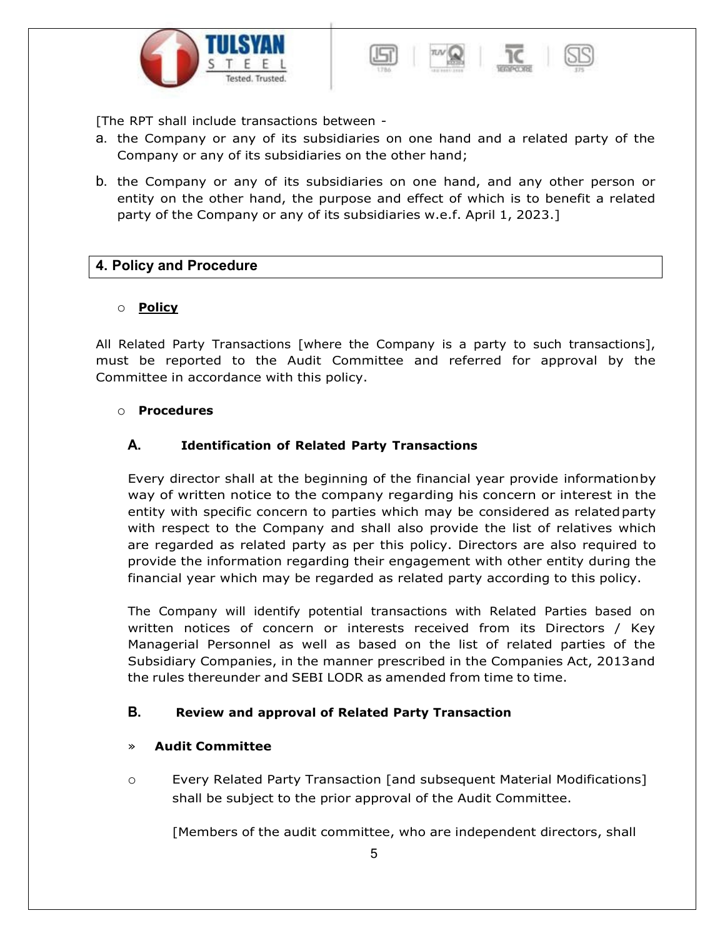



[The RPT shall include transactions between -

- a. the Company or any of its subsidiaries on one hand and a related party of the Company or any of its subsidiaries on the other hand;
- b. the Company or any of its subsidiaries on one hand, and any other person or entity on the other hand, the purpose and effect of which is to benefit a related party of the Company or any of its subsidiaries w.e.f. April 1, 2023.]

### **4. Policy and Procedure**

#### o **Policy**

All Related Party Transactions [where the Company is a party to such transactions], must be reported to the Audit Committee and referred for approval by the Committee in accordance with this policy.

#### o **Procedures**

### **A. Identification of Related Party Transactions**

Every director shall at the beginning of the financial year provide informationby way of written notice to the company regarding his concern or interest in the entity with specific concern to parties which may be considered as relatedparty with respect to the Company and shall also provide the list of relatives which are regarded as related party as per this policy. Directors are also required to provide the information regarding their engagement with other entity during the financial year which may be regarded as related party according to this policy.

The Company will identify potential transactions with Related Parties based on written notices of concern or interests received from its Directors / Key Managerial Personnel as well as based on the list of related parties of the Subsidiary Companies, in the manner prescribed in the Companies Act, 2013and the rules thereunder and SEBI LODR as amended from time to time.

### **B. Review and approval of Related Party Transaction**

#### » **Audit Committee**

o Every Related Party Transaction [and subsequent Material Modifications] shall be subject to the prior approval of the Audit Committee.

[Members of the audit committee, who are independent directors, shall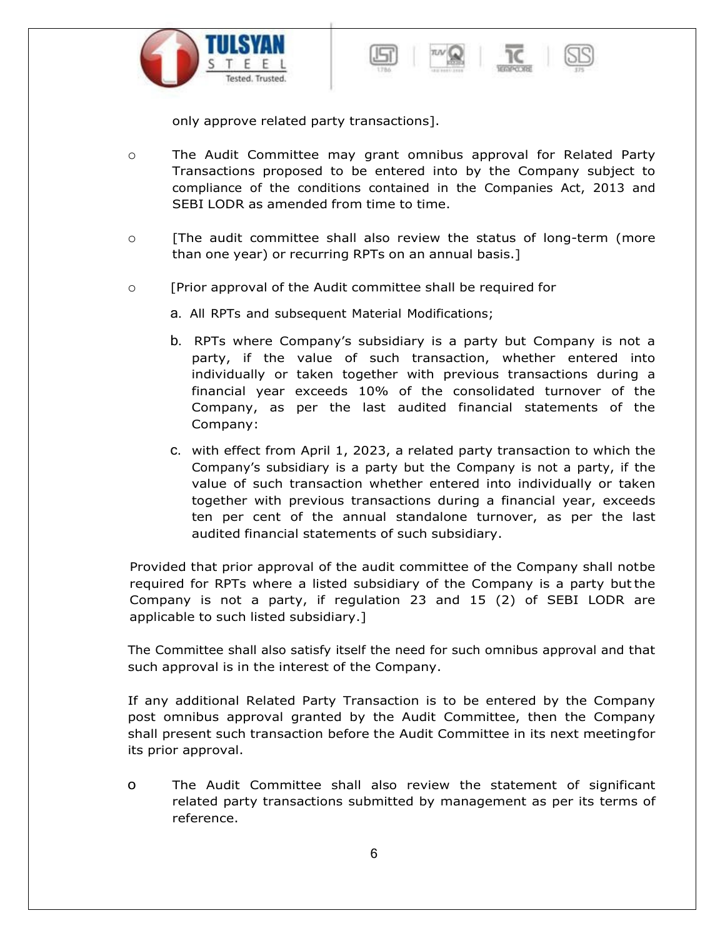



only approve related party transactions].

- o The Audit Committee may grant omnibus approval for Related Party Transactions proposed to be entered into by the Company subject to compliance of the conditions contained in the Companies Act, 2013 and SEBI LODR as amended from time to time.
- $\circ$  [The audit committee shall also review the status of long-term (more than one year) or recurring RPTs on an annual basis.]
- o [Prior approval of the Audit committee shall be required for
	- a. All RPTs and subsequent Material Modifications;
	- b. RPTs where Company's subsidiary is a party but Company is not a party, if the value of such transaction, whether entered into individually or taken together with previous transactions during a financial year exceeds 10% of the consolidated turnover of the Company, as per the last audited financial statements of the Company:
	- c. with effect from April 1, 2023, a related party transaction to which the Company's subsidiary is a party but the Company is not a party, if the value of such transaction whether entered into individually or taken together with previous transactions during a financial year, exceeds ten per cent of the annual standalone turnover, as per the last audited financial statements of such subsidiary.

Provided that prior approval of the audit committee of the Company shall notbe required for RPTs where a listed subsidiary of the Company is a party butthe Company is not a party, if regulation 23 and 15 (2) of SEBI LODR are applicable to such listed subsidiary.]

The Committee shall also satisfy itself the need for such omnibus approval and that such approval is in the interest of the Company.

If any additional Related Party Transaction is to be entered by the Company post omnibus approval granted by the Audit Committee, then the Company shall present such transaction before the Audit Committee in its next meetingfor its prior approval.

o The Audit Committee shall also review the statement of significant related party transactions submitted by management as per its terms of reference.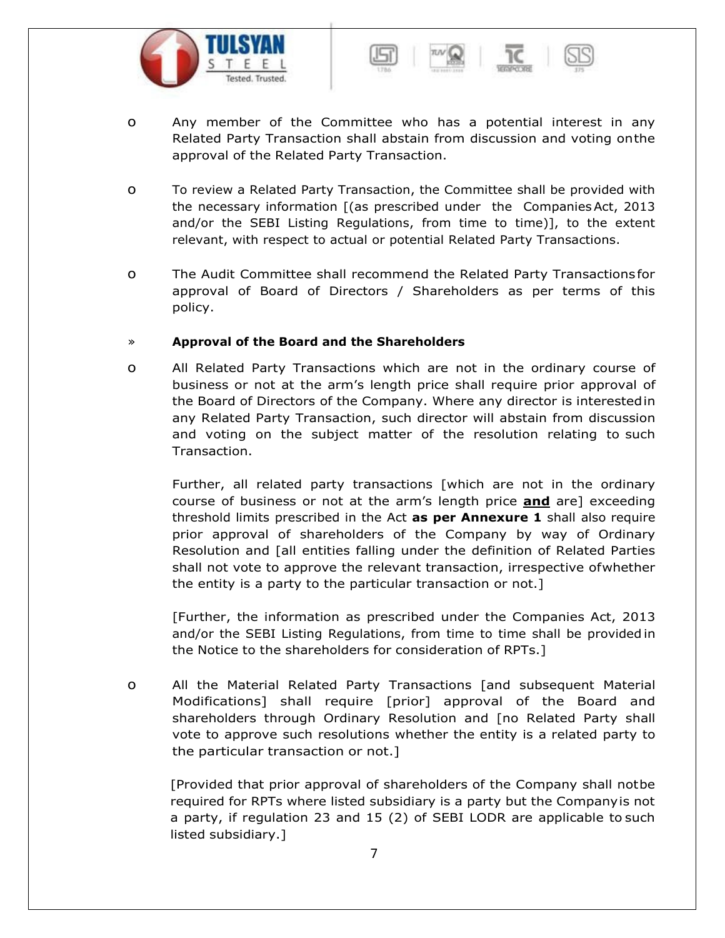



- o Any member of the Committee who has a potential interest in any Related Party Transaction shall abstain from discussion and voting onthe approval of the Related Party Transaction.
- o To review a Related Party Transaction, the Committee shall be provided with the necessary information [(as prescribed under the CompaniesAct, 2013 and/or the SEBI Listing Regulations, from time to time)], to the extent relevant, with respect to actual or potential Related Party Transactions.
- o The Audit Committee shall recommend the Related Party Transactionsfor approval of Board of Directors / Shareholders as per terms of this policy.

#### » **Approval of the Board and the Shareholders**

o All Related Party Transactions which are not in the ordinary course of business or not at the arm's length price shall require prior approval of the Board of Directors of the Company. Where any director is interestedin any Related Party Transaction, such director will abstain from discussion and voting on the subject matter of the resolution relating to such Transaction.

Further, all related party transactions [which are not in the ordinary course of business or not at the arm's length price **and** are] exceeding threshold limits prescribed in the Act **as per Annexure 1** shall also require prior approval of shareholders of the Company by way of Ordinary Resolution and [all entities falling under the definition of Related Parties shall not vote to approve the relevant transaction, irrespective ofwhether the entity is a party to the particular transaction or not.]

[Further, the information as prescribed under the Companies Act, 2013 and/or the SEBI Listing Regulations, from time to time shall be provided in the Notice to the shareholders for consideration of RPTs.]

o All the Material Related Party Transactions [and subsequent Material Modifications] shall require [prior] approval of the Board and shareholders through Ordinary Resolution and [no Related Party shall vote to approve such resolutions whether the entity is a related party to the particular transaction or not.]

[Provided that prior approval of shareholders of the Company shall notbe required for RPTs where listed subsidiary is a party but the Companyis not a party, if regulation 23 and 15 (2) of SEBI LODR are applicable to such listed subsidiary.]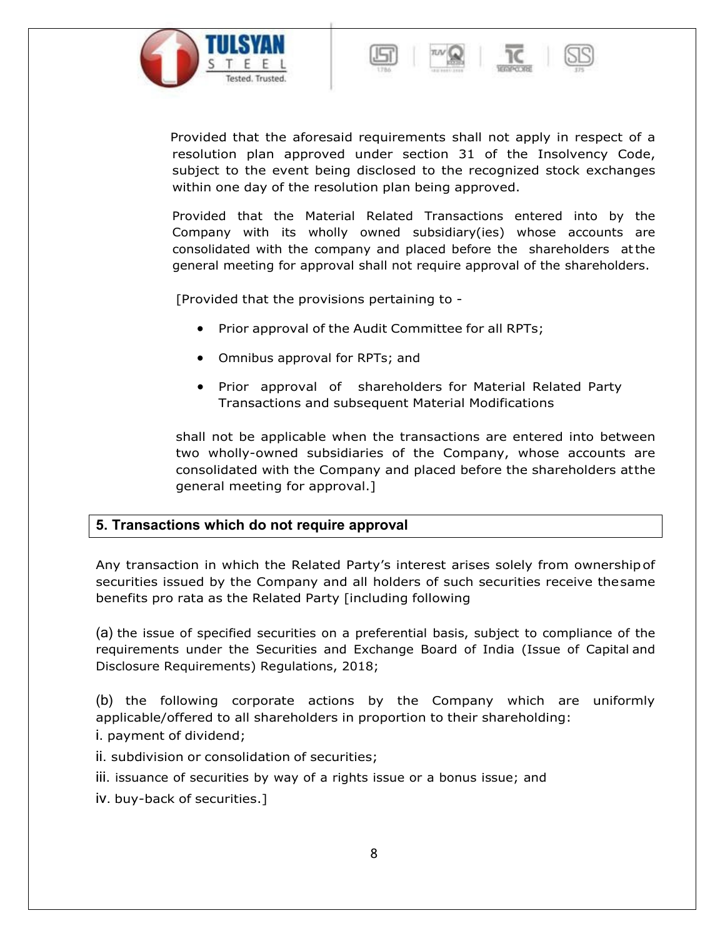





Provided that the aforesaid requirements shall not apply in respect of a resolution plan approved under section 31 of the Insolvency Code, subject to the event being disclosed to the recognized stock exchanges within one day of the resolution plan being approved.

Provided that the Material Related Transactions entered into by the Company with its wholly owned subsidiary(ies) whose accounts are consolidated with the company and placed before the shareholders atthe general meeting for approval shall not require approval of the shareholders.

[Provided that the provisions pertaining to -

- Prior approval of the Audit Committee for all RPTs;
- Omnibus approval for RPTs; and
- Prior approval of shareholders for Material Related Party Transactions and subsequent Material Modifications

shall not be applicable when the transactions are entered into between two wholly-owned subsidiaries of the Company, whose accounts are consolidated with the Company and placed before the shareholders atthe general meeting for approval.]

## **5. Transactions which do not require approval**

Any transaction in which the Related Party's interest arises solely from ownershipof securities issued by the Company and all holders of such securities receive thesame benefits pro rata as the Related Party [including following

(a) the issue of specified securities on a preferential basis, subject to compliance of the requirements under the Securities and Exchange Board of India (Issue of Capital and Disclosure Requirements) Regulations, 2018;

(b) the following corporate actions by the Company which are uniformly applicable/offered to all shareholders in proportion to their shareholding: i. payment of dividend;

ii. subdivision or consolidation of securities;

- iii. issuance of securities by way of a rights issue or a bonus issue; and
- iv. buy-back of securities.]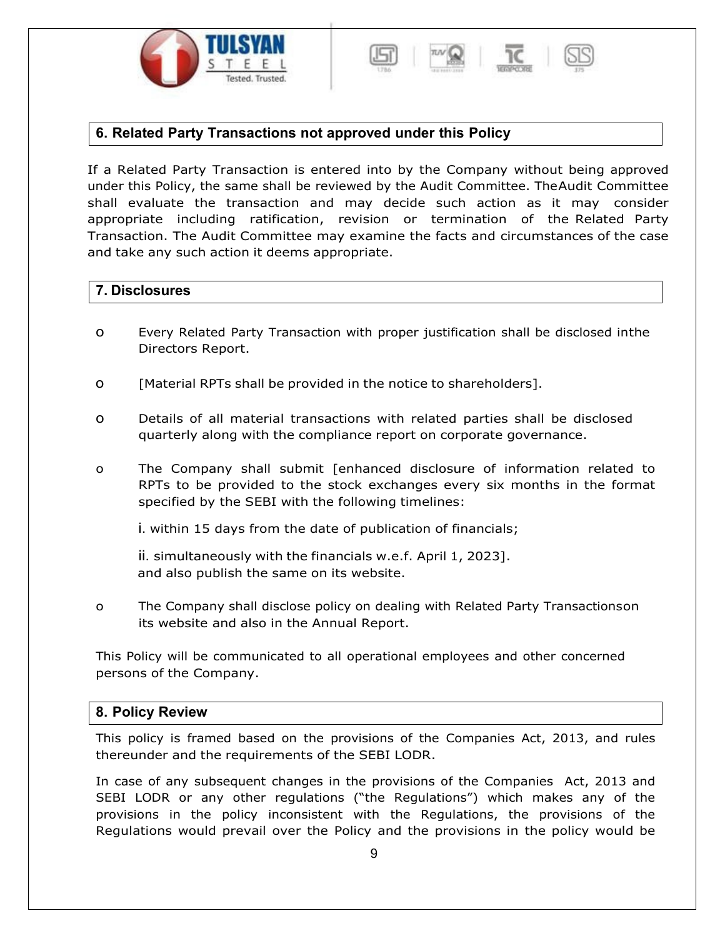



### **6. Related Party Transactions not approved under this Policy**

If a Related Party Transaction is entered into by the Company without being approved under this Policy, the same shall be reviewed by the Audit Committee. TheAudit Committee shall evaluate the transaction and may decide such action as it may consider appropriate including ratification, revision or termination of the Related Party Transaction. The Audit Committee may examine the facts and circumstances of the case and take any such action it deems appropriate.

### **7. Disclosures**

- o Every Related Party Transaction with proper justification shall be disclosed inthe Directors Report.
- o [Material RPTs shall be provided in the notice to shareholders].
- o Details of all material transactions with related parties shall be disclosed quarterly along with the compliance report on corporate governance.
- o The Company shall submit [enhanced disclosure of information related to RPTs to be provided to the stock exchanges every six months in the format specified by the SEBI with the following timelines:

i. within 15 days from the date of publication of financials;

ii. simultaneously with the financials w.e.f. April 1, 2023]. and also publish the same on its website.

o The Company shall disclose policy on dealing with Related Party Transactionson its website and also in the Annual Report.

This Policy will be communicated to all operational employees and other concerned persons of the Company.

#### **8. Policy Review**

This policy is framed based on the provisions of the Companies Act, 2013, and rules thereunder and the requirements of the SEBI LODR.

In case of any subsequent changes in the provisions of the Companies Act, 2013 and SEBI LODR or any other regulations ("the Regulations") which makes any of the provisions in the policy inconsistent with the Regulations, the provisions of the Regulations would prevail over the Policy and the provisions in the policy would be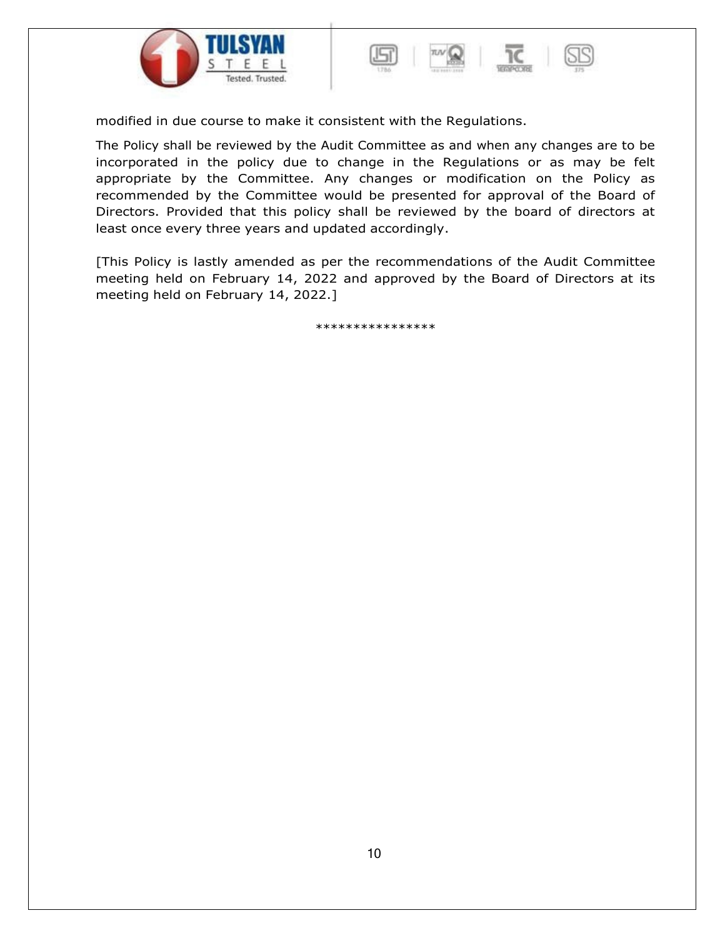



modified in due course to make it consistent with the Regulations.

The Policy shall be reviewed by the Audit Committee as and when any changes are to be incorporated in the policy due to change in the Regulations or as may be felt appropriate by the Committee. Any changes or modification on the Policy as recommended by the Committee would be presented for approval of the Board of Directors. Provided that this policy shall be reviewed by the board of directors at least once every three years and updated accordingly.

[This Policy is lastly amended as per the recommendations of the Audit Committee meeting held on February 14, 2022 and approved by the Board of Directors at its meeting held on February 14, 2022.]

\*\*\*\*\*\*\*\*\*\*\*\*\*\*\*\*